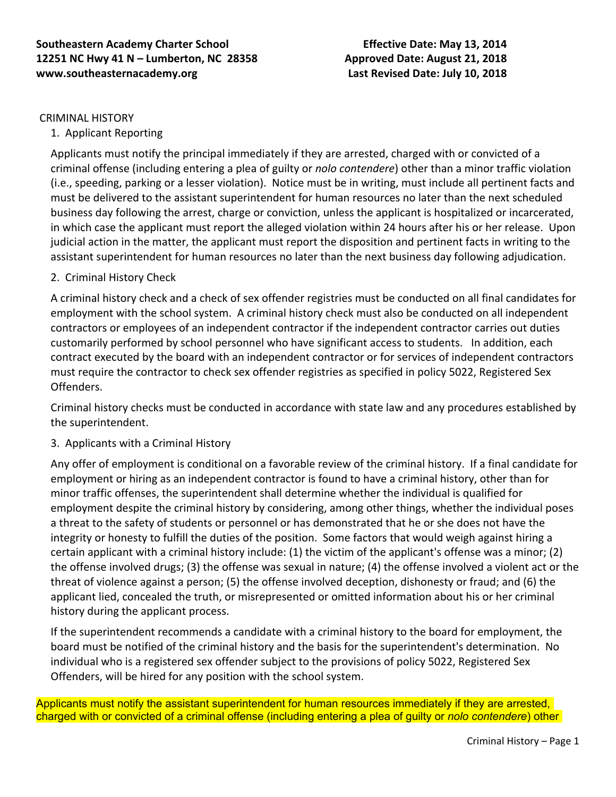# **Southeastern Academy Charter School Effective Date: May 13, 2014 12251 NC Hwy 41 N – Lumberton, NC 28358 Approved Date: August 21, 2018 www.southeasternacademy.org Last Revised Date: July 10, 2018**

### CRIMINAL HISTORY

1. Applicant Reporting

Applicants must notify the principal immediately if they are arrested, charged with or convicted of a criminal offense (including entering a plea of guilty or *nolo contendere*) other than a minor traffic violation (i.e., speeding, parking or a lesser violation). Notice must be in writing, must include all pertinent facts and must be delivered to the assistant superintendent for human resources no later than the next scheduled business day following the arrest, charge or conviction, unless the applicant is hospitalized or incarcerated, in which case the applicant must report the alleged violation within 24 hours after his or her release. Upon judicial action in the matter, the applicant must report the disposition and pertinent facts in writing to the assistant superintendent for human resources no later than the next business day following adjudication.

## 2. Criminal History Check

A criminal history check and a check of sex offender registries must be conducted on all final candidates for employment with the school system. A criminal history check must also be conducted on all independent contractors or employees of an independent contractor if the independent contractor carries out duties customarily performed by school personnel who have significant access to students. In addition, each contract executed by the board with an independent contractor or for services of independent contractors must require the contractor to check sex offender registries as specified in policy 5022, Registered Sex Offenders.

Criminal history checks must be conducted in accordance with state law and any procedures established by the superintendent.

## 3. Applicants with a Criminal History

Any offer of employment is conditional on a favorable review of the criminal history. If a final candidate for employment or hiring as an independent contractor is found to have a criminal history, other than for minor traffic offenses, the superintendent shall determine whether the individual is qualified for employment despite the criminal history by considering, among other things, whether the individual poses a threat to the safety of students or personnel or has demonstrated that he or she does not have the integrity or honesty to fulfill the duties of the position. Some factors that would weigh against hiring a certain applicant with a criminal history include: (1) the victim of the applicant's offense was a minor; (2) the offense involved drugs; (3) the offense was sexual in nature; (4) the offense involved a violent act or the threat of violence against a person; (5) the offense involved deception, dishonesty or fraud; and (6) the applicant lied, concealed the truth, or misrepresented or omitted information about his or her criminal history during the applicant process.

If the superintendent recommends a candidate with a criminal history to the board for employment, the board must be notified of the criminal history and the basis for the superintendent's determination. No individual who is a registered sex offender subject to the provisions of policy 5022, Registered Sex Offenders, will be hired for any position with the school system.

Applicants must notify the assistant superintendent for human resources immediately if they are arrested, charged with or convicted of a criminal offense (including entering a plea of guilty or *nolo contendere*) other